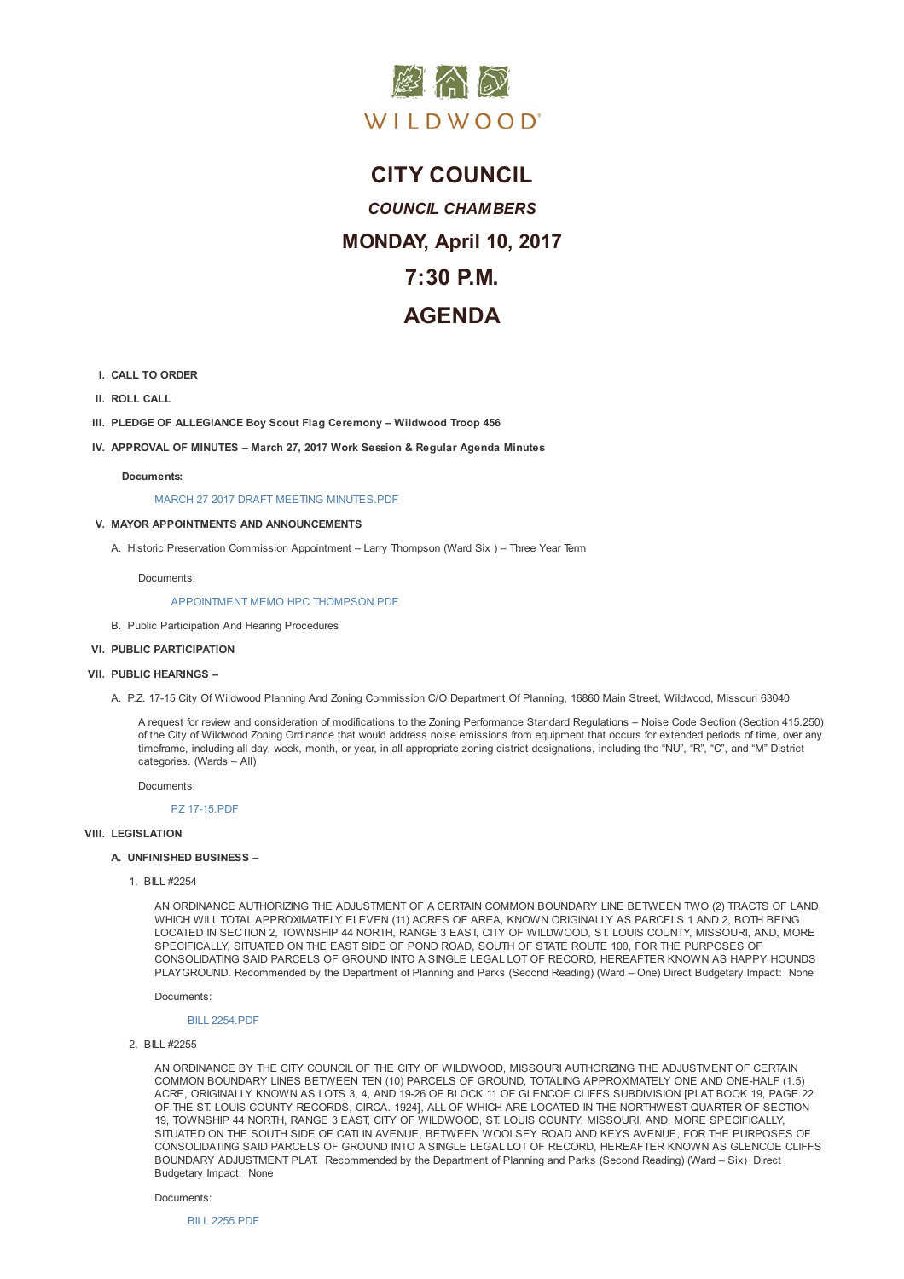

# **CITY COUNCIL** *COUNCIL CHAMBERS* **MONDAY, April 10, 2017 7:30 P.M. AGENDA**

- **I. CALL TO ORDER**
- **II. ROLL CALL**
- **III. PLEDGE OF ALLEGIANCE Boy Scout Flag Ceremony – Wildwood Troop 456**
- **IV. APPROVAL OF MINUTES – March 27, 2017 Work Session & Regular Agenda Minutes**

## **Documents:**

MARCH 27 2017 DRAFT MEETING MINUTES.PDF

## **V. MAYOR APPOINTMENTS AND ANNOUNCEMENTS**

A. Historic Preservation Commission Appointment – Larry Thompson (Ward Six ) – Three Year Term

Do[cuments:](D:/AgendaCenter/ViewFile/Item/10350?fileID=14871)

# APPOINTMENT MEMO HPC THOMPSON.PDF

B. Public Participation And Hearing Procedures

## **VI. PUBLIC PARTICIPATION**

- **VII. PUBLIC HE[ARINGS](D:/AgendaCenter/ViewFile/Item/10352?fileID=14860) –**
	- A. P.Z. 17-15 City Of Wildwood Planning And Zoning Commission C/O Department Of Planning, 16860 Main Street, Wildwood, Missouri 63040

A request for review and consideration of modifications to the Zoning Performance Standard Regulations – Noise Code Section (Section 415.250) of the City of Wildwood Zoning Ordinance that would address noise emissions from equipment that occurs for extended periods of time, over any timeframe, including all day, week, month, or year, in all appropriate zoning district designations, including the "NU", "R", "C", and "M" District categories. (Wards – All)

Documents:

PZ 17-15.PDF

#### **VIII. LEGISLATION**

#### **A. UNFINISHED BUSINESS –**

1. BILL [#2254](D:/AgendaCenter/ViewFile/Item/10356?fileID=14803)

AN ORDINANCE AUTHORIZING THE ADJUSTMENT OF A CERTAIN COMMON BOUNDARY LINE BETWEEN TWO (2) TRACTS OF LAND, WHICH WILL TOTAL APPROXIMATELY ELEVEN (11) ACRES OF AREA, KNOWN ORIGINALLY AS PARCELS 1 AND 2, BOTH BEING LOCATED IN SECTION 2, TOWNSHIP 44 NORTH, RANGE 3 EAST, CITY OF WILDWOOD, ST. LOUIS COUNTY, MISSOURI, AND, MORE SPECIFICALLY, SITUATED ON THE EAST SIDE OF POND ROAD, SOUTH OF STATE ROUTE 100, FOR THE PURPOSES OF CONSOLIDATING SAID PARCELS OF GROUND INTO A SINGLE LEGAL LOT OF RECORD, HEREAFTER KNOWN AS HAPPY HOUNDS PLAYGROUND. Recommended by the Department of Planning and Parks (Second Reading) (Ward – One) Direct Budgetary Impact: None

Documents:

# BILL 2254.PDF

2. BILL #2255

AN ORDINANCE BY THE CITY COUNCIL OF THE CITY OF WILDWOOD, MISSOURI AUTHORIZING THE ADJUSTMENT OF CERTAIN COMMON BOUNDARY LINES BETWEEN TEN (10) PARCELS OF GROUND, TOTALING APPROXIMATELY ONE AND ONE-HALF (1.5) ACRE, [ORIGINALLY](D:/AgendaCenter/ViewFile/Item/10359?fileID=14804) KNOWN AS LOTS 3, 4, AND 19-26 OF BLOCK 11 OF GLENCOE CLIFFS SUBDIVISION [PLAT BOOK 19, PAGE 22 OF THE ST. LOUIS COUNTY RECORDS, CIRCA. 1924], ALL OF WHICH ARE LOCATED IN THE NORTHWEST QUARTER OF SECTION 19, TOWNSHIP 44 NORTH, RANGE 3 EAST, CITY OF WILDWOOD, ST. LOUIS COUNTY, MISSOURI, AND, MORE SPECIFICALLY, SITUATED ON THE SOUTH SIDE OF CATLIN AVENUE, BETWEEN WOOLSEY ROAD AND KEYS AVENUE, FOR THE PURPOSES OF CONSOLIDATING SAID PARCELS OF GROUND INTO A SINGLE LEGAL LOT OF RECORD, HEREAFTER KNOWN AS GLENCOE CLIFFS BOUNDARY ADJUSTMENT PLAT. Recommended by the Department of Planning and Parks (Second Reading) (Ward – Six) Direct Budgetary Impact: None

Documents:

BILL 2255.PDF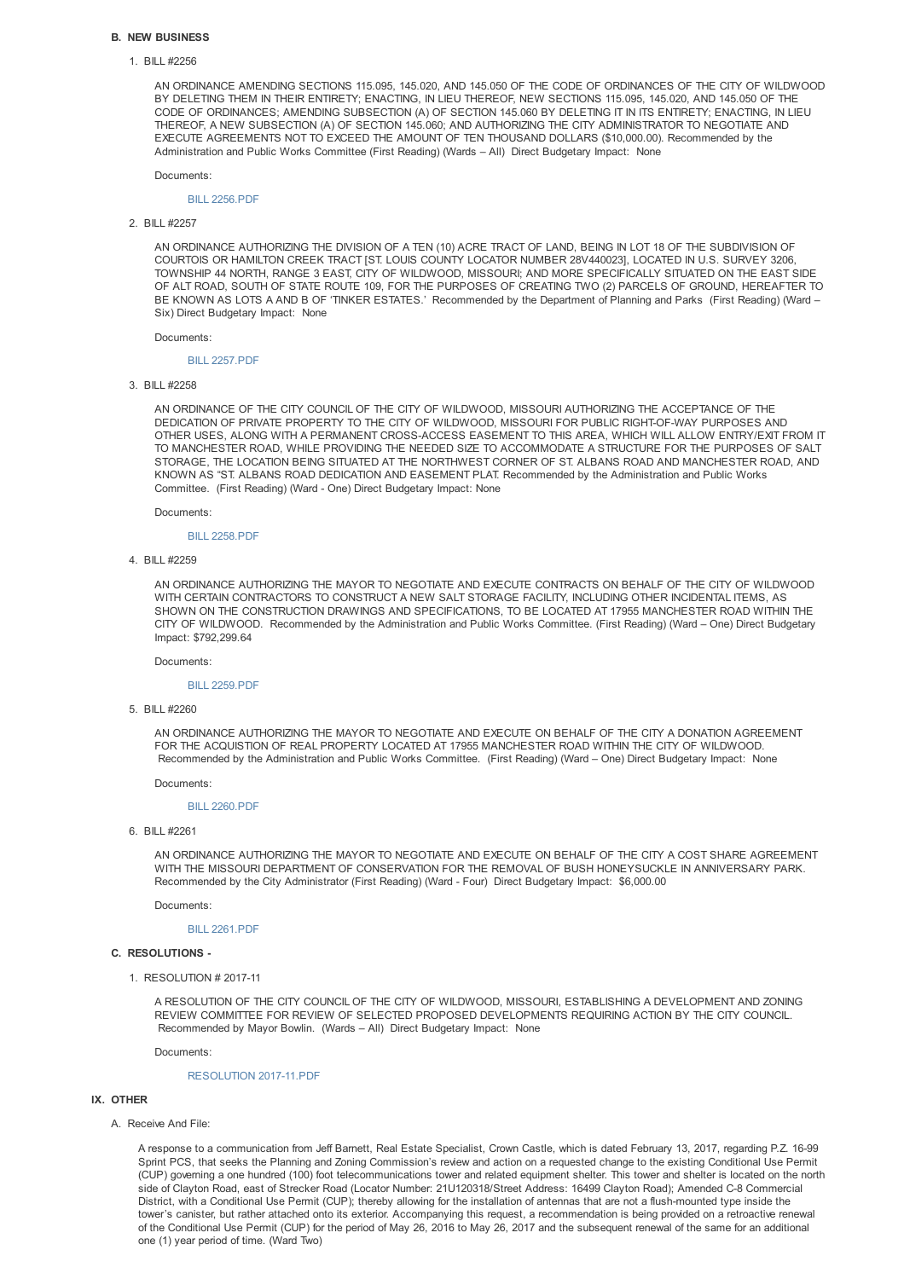## **B. NEW BUSINESS**

## 1. BILL #2256

AN ORDINANCE AMENDING SECTIONS 115.095, 145.020, AND 145.050 OF THE CODE OF ORDINANCES OF THE CITY OF WILDWOOD BY DELETING THEM IN THEIR ENTIRETY; ENACTING, IN LIEU THEREOF, NEW SECTIONS 115.095, 145.020, AND 145.050 OF THE CODE OF ORDINANCES; AMENDING SUBSECTION (A) OF SECTION 145.060 BY DELETING IT IN ITS ENTIRETY; ENACTING, IN LIEU THEREOF, A NEW SUBSECTION (A) OF SECTION 145.060; AND AUTHORIZING THE CITY ADMINISTRATOR TO NEGOTIATE AND EXECUTE AGREEMENTS NOT TO EXCEED THE AMOUNT OF TEN THOUSAND DOLLARS (\$10,000.00). Recommended by the Administration and Public Works Committee (First Reading) (Wards – All) Direct Budgetary Impact: None

Documents:

## BILL 2256.PDF

# 2. BILL #2257

AN ORDINANCE AUTHORIZING THE DIVISION OF A TEN (10) ACRE TRACT OF LAND, BEING IN LOT 18 OF THE SUBDIVISION OF COURTOIS OR HAMILTON CREEK TRACT [ST. LOUIS COUNTY LOCATOR NUMBER 28V440023], LOCATED IN U.S. SURVEY 3206, TOWNSHIP 44 NORTH, RANGE 3 EAST, CITY OF WILDWOOD, MISSOURI; AND MORE SPECIFICALLY SITUATED ON THE EAST SIDE OF ALT ROAD, SOUTH OF STATE ROUTE 109, FOR THE PURPOSES OF CREATING TWO (2) PARCELS OF GROUND, HEREAFTER TO BE KNOWN AS LOTS A AND B OF 'TINKER ESTATES.' Recommended by the Department of Planning and Parks (First Reading) (Ward – Six) Direct Budgetary Impact: None

Documents:

## BILL 2257.PDF

### 3. BILL #2258

AN ORDINANCE OF THE CITY COUNCIL OF THE CITY OF WILDWOOD, MISSOURI AUTHORIZING THE ACCEPTANCE OF THE DEDICATION OF PRIVATE PROPERTY TO THE CITY OF WILDWOOD, MISSOURI FOR PUBLIC RIGHT-OF-WAY PURPOSES AND OTHER USES, ALONG WITH A PERMANENT CROSS-ACCESS EASEMENT TO THIS AREA, WHICH WILL ALLOW ENTRY/EXIT FROM IT TO MANCHESTER ROAD, WHILE PROVIDING THE NEEDED SIZE TO ACCOMMODATE A STRUCTURE FOR THE PURPOSES OF SALT STORAGE, THE LOCATION BEING SITUATED AT THE NORTHWEST CORNER OF ST. ALBANS ROAD AND MANCHESTER ROAD, AND KNOWN AS "ST. ALBANS ROAD DEDICATION AND EASEMENT PLAT. Recommended by the Administration and Public Works Committee. (First Reading) (Ward - One) Direct Budgetary Impact: None

Documents:

#### BILL 2258.PDF

#### 4. BILL #2259

AN ORDINANCE AUTHORIZING THE MAYOR TO NEGOTIATE AND EXECUTE CONTRACTS ON BEHALF OF THE CITY OF WILDWOOD WITH CERTAIN CONTRACTORS TO CONSTRUCT A NEW SALT STORAGE FACILITY, INCLUDING OTHER INCIDENTAL ITEMS, AS SHOWN ON THE CONSTRUCTION DRAWINGS AND SPECIFICATIONS, TO BE LOCATED AT 17955 MANCHESTER ROAD WITHIN THE CITY OF WILDWOOD. Recommended by the Administration and Public Works Committee. (First Reading) (Ward – One) Direct Budgetary Impact: \$792,299.64

## Documents:

#### BILL 2259.PDF

#### 5. BILL #2260

AN ORDINANCE AUTHORIZING THE MAYOR TO NEGOTIATE AND EXECUTE ON BEHALF OF THE CITY A DONATION AGREEMENT FOR THE ACQUISTION OF REAL PROPERTY LOCATED AT 17955 MANCHESTER ROAD WITHIN THE CITY OF WILDWOOD. Recommended by the Administration and Public Works Committee. (First Reading) (Ward – One) Direct Budgetary Impact: None

#### Documents:

## BILL 2260.PDF

6. BILL #2261

AN ORDINANCE AUTHORIZING THE MAYOR TO NEGOTIATE AND EXECUTE ON BEHALF OF THE CITY A COST SHARE AGREEMENT WITH THE MISSOURI DEPARTMENT OF CONSERVATION FOR THE REMOVAL OF BUSH HONEYSUCKLE IN ANNIVERSARY PARK. Recommended by the City Administrator (First Reading) (Ward - Four) Direct Budgetary Impact: \$6,000.00

Documents:

BILL 2261.PDF

#### **C. RESOLUTIONS -**

1. RESOLUTION # 2017-11

A RESOLUTION OF THE CITY COUNCIL OF THE CITY OF WILDWOOD, MISSOURI, ESTABLISHING A DEVELOPMENT AND ZONING REVIEW COMMITTEE FOR REVIEW OF SELECTED PROPOSED DEVELOPMENTS REQUIRING ACTION BY THE CITY COUNCIL. Recommended by Mayor Bowlin. (Wards – All) Direct Budgetary Impact: None

Documents:

# RESOLUTION 2017-11.PDF

# **IX. OTHER**

# A. Receive And File:

A response to a communication from Jeff Barnett, Real Estate Specialist, Crown Castle, which is dated February 13, 2017, regarding P.Z. 16-99 Sprint PCS, that seeks the Planning and Zoning Commission's review and action on a requested change to the existing Conditional Use Permit (CUP) governing a one hundred (100) foot telecommunications tower and related equipment shelter. This tower and shelter is located on the north side of Clayton Road, east of Strecker Road (Locator Number: 21U120318/Street Address: 16499 Clayton Road); Amended C-8 Commercial District, with a Conditional Use Permit (CUP); thereby allowing for the installation of antennas that are not a flush-mounted type inside the tower's canister, but rather attached onto its exterior. Accompanying this request, a recommendation is being provided on a retroactive renewal of the Conditional Use Permit (CUP) for the period of May 26, 2016 to May 26, 2017 and the subsequent renewal of the same for an additional one (1) year period of time. (Ward Two)